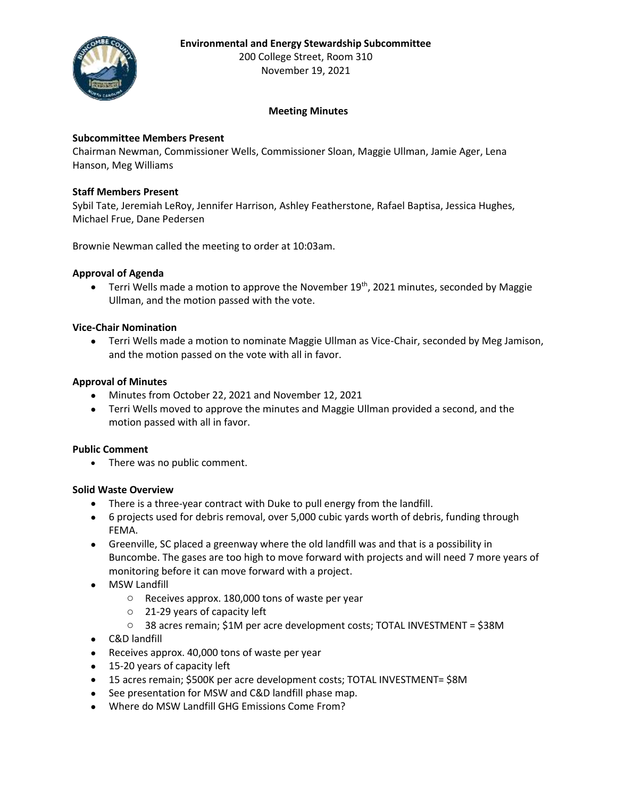## **Environmental and Energy Stewardship Subcommittee**



200 College Street, Room 310 November 19, 2021

# **Meeting Minutes**

## **Subcommittee Members Present**

Chairman Newman, Commissioner Wells, Commissioner Sloan, Maggie Ullman, Jamie Ager, Lena Hanson, Meg Williams

### **Staff Members Present**

Sybil Tate, Jeremiah LeRoy, Jennifer Harrison, Ashley Featherstone, Rafael Baptisa, Jessica Hughes, Michael Frue, Dane Pedersen

Brownie Newman called the meeting to order at 10:03am.

### **Approval of Agenda**

• Terri Wells made a motion to approve the November 19<sup>th</sup>, 2021 minutes, seconded by Maggie Ullman, and the motion passed with the vote.

### **Vice-Chair Nomination**

• Terri Wells made a motion to nominate Maggie Ullman as Vice-Chair, seconded by Meg Jamison, and the motion passed on the vote with all in favor.

### **Approval of Minutes**

- Minutes from October 22, 2021 and November 12, 2021
- Terri Wells moved to approve the minutes and Maggie Ullman provided a second, and the motion passed with all in favor.

#### **Public Comment**

• There was no public comment.

#### **Solid Waste Overview**

- There is a three-year contract with Duke to pull energy from the landfill.
- 6 projects used for debris removal, over 5,000 cubic yards worth of debris, funding through FEMA.
- Greenville, SC placed a greenway where the old landfill was and that is a possibility in Buncombe. The gases are too high to move forward with projects and will need 7 more years of monitoring before it can move forward with a project.
- MSW Landfill
	- o Receives approx. 180,000 tons of waste per year
	- o 21-29 years of capacity left
	- o 38 acres remain; \$1M per acre development costs; TOTAL INVESTMENT = \$38M
- C&D landfill
- Receives approx. 40,000 tons of waste per year
- 15-20 years of capacity left
- 15 acres remain; \$500K per acre development costs; TOTAL INVESTMENT= \$8M
- See presentation for MSW and C&D landfill phase map.
- Where do MSW Landfill GHG Emissions Come From?